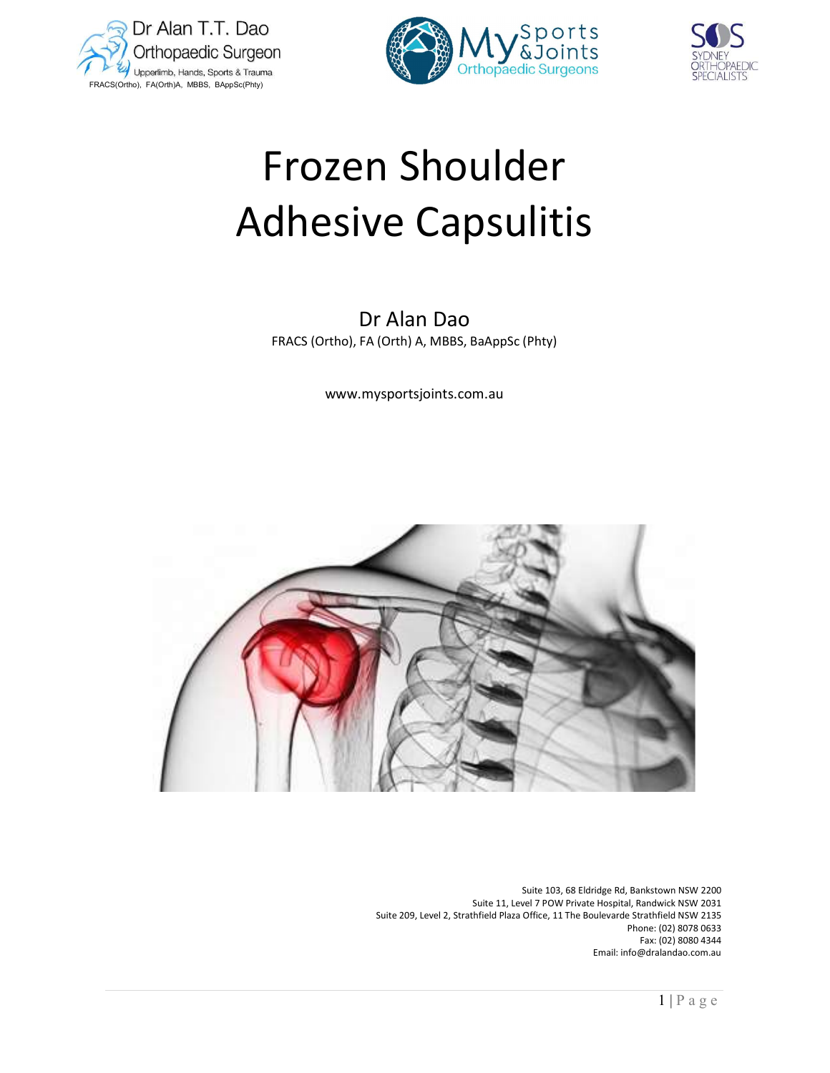





# Frozen Shoulder Adhesive Capsulitis

Dr Alan Dao FRACS (Ortho), FA (Orth) A, MBBS, BaAppSc (Phty)

www.mysportsjoints.com.au



 Suite 103, 68 Eldridge Rd, Bankstown NSW 2200 Suite 11, Level 7 POW Private Hospital, Randwick NSW 2031 Suite 209, Level 2, Strathfield Plaza Office, 11 The Boulevarde Strathfield NSW 2135 Phone: (02) 8078 0633 Fax: (02) 8080 4344 Email: info@dralandao.com.au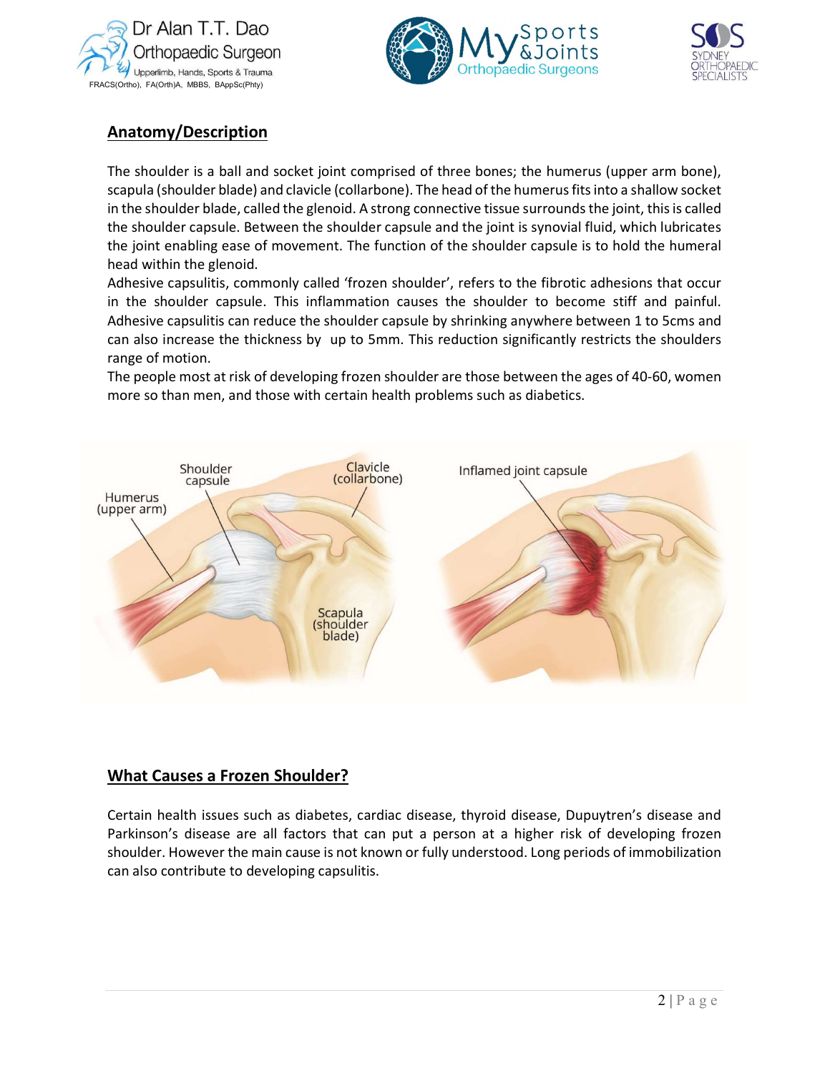





# Anatomy/Description

The shoulder is a ball and socket joint comprised of three bones; the humerus (upper arm bone), scapula (shoulder blade) and clavicle (collarbone). The head of the humerus fits into a shallow socket in the shoulder blade, called the glenoid. A strong connective tissue surrounds the joint, this is called the shoulder capsule. Between the shoulder capsule and the joint is synovial fluid, which lubricates the joint enabling ease of movement. The function of the shoulder capsule is to hold the humeral head within the glenoid.

Adhesive capsulitis, commonly called 'frozen shoulder', refers to the fibrotic adhesions that occur in the shoulder capsule. This inflammation causes the shoulder to become stiff and painful. Adhesive capsulitis can reduce the shoulder capsule by shrinking anywhere between 1 to 5cms and can also increase the thickness by up to 5mm. This reduction significantly restricts the shoulders range of motion.

The people most at risk of developing frozen shoulder are those between the ages of 40-60, women more so than men, and those with certain health problems such as diabetics.



## What Causes a Frozen Shoulder?

Certain health issues such as diabetes, cardiac disease, thyroid disease, Dupuytren's disease and Parkinson's disease are all factors that can put a person at a higher risk of developing frozen shoulder. However the main cause is not known or fully understood. Long periods of immobilization can also contribute to developing capsulitis.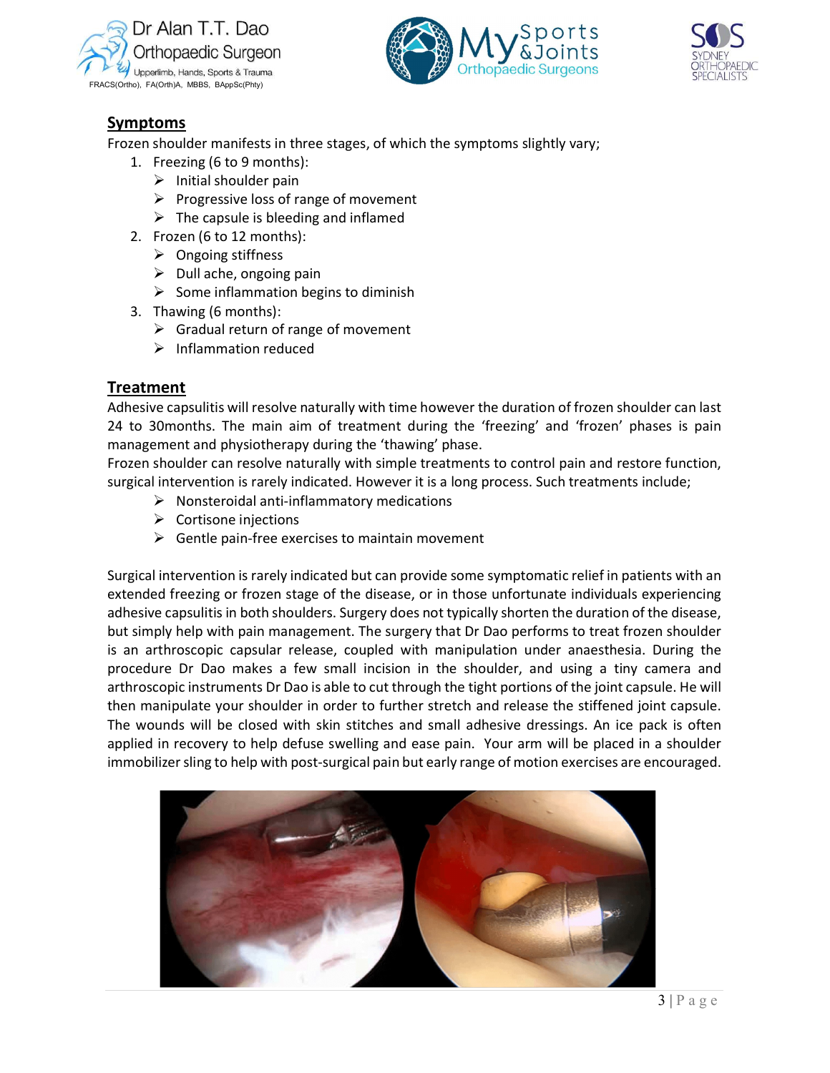





## Symptoms

Frozen shoulder manifests in three stages, of which the symptoms slightly vary;

- 1. Freezing (6 to 9 months):
	- $\triangleright$  Initial shoulder pain
	- $\triangleright$  Progressive loss of range of movement
	- $\triangleright$  The capsule is bleeding and inflamed
- 2. Frozen (6 to 12 months):
	- $\triangleright$  Ongoing stiffness
	- $\triangleright$  Dull ache, ongoing pain
	- $\triangleright$  Some inflammation begins to diminish
- 3. Thawing (6 months):
	- $\triangleright$  Gradual return of range of movement
	- $\triangleright$  Inflammation reduced

## Treatment

Adhesive capsulitis will resolve naturally with time however the duration of frozen shoulder can last 24 to 30months. The main aim of treatment during the 'freezing' and 'frozen' phases is pain management and physiotherapy during the 'thawing' phase.

Frozen shoulder can resolve naturally with simple treatments to control pain and restore function, surgical intervention is rarely indicated. However it is a long process. Such treatments include;

- $\triangleright$  Nonsteroidal anti-inflammatory medications
- $\triangleright$  Cortisone injections
- $\triangleright$  Gentle pain-free exercises to maintain movement

porting the<br>mera and<br>lle. He will<br>t capsule.<br>k is often<br>a shoulder<br>couraged.<br>3 | P a g e Surgical intervention is rarely indicated but can provide some symptomatic relief in patients with an extended freezing or frozen stage of the disease, or in those unfortunate individuals experiencing adhesive capsulitis in both shoulders. Surgery does not typically shorten the duration of the disease, but simply help with pain management. The surgery that Dr Dao performs to treat frozen shoulder is an arthroscopic capsular release, coupled with manipulation under anaesthesia. During the procedure Dr Dao makes a few small incision in the shoulder, and using a tiny camera and arthroscopic instruments Dr Dao is able to cut through the tight portions of the joint capsule. He will then manipulate your shoulder in order to further stretch and release the stiffened joint capsule. The wounds will be closed with skin stitches and small adhesive dressings. An ice pack is often applied in recovery to help defuse swelling and ease pain. Your arm will be placed in a shoulder immobilizer sling to help with post-surgical pain but early range of motion exercises are encouraged.